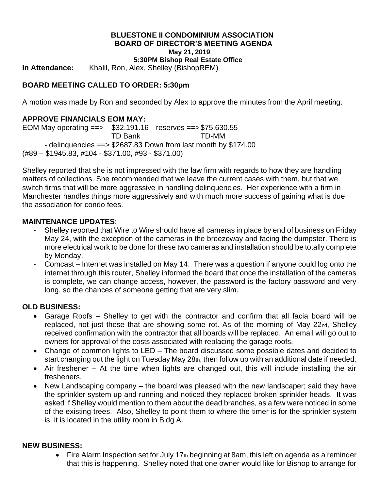#### **BLUESTONE II CONDOMINIUM ASSOCIATION BOARD OF DIRECTOR'S MEETING AGENDA May 21, 2019**

**5:30PM Bishop Real Estate Office**

**In Attendance:** Khalil, Ron, Alex, Shelley (BishopREM)

# **BOARD MEETING CALLED TO ORDER: 5:30pm**

A motion was made by Ron and seconded by Alex to approve the minutes from the April meeting.

## **APPROVE FINANCIALS EOM MAY:**

EOM May operating ==> \$32,191.16 reserves ==>\$75,630.55 TD Bank TD-MM - delinquencies ==> \$2687.83 Down from last month by \$174.00 (#89 – \$1945.83, #104 - \$371.00, #93 - \$371.00)

Shelley reported that she is not impressed with the law firm with regards to how they are handling matters of collections. She recommended that we leave the current cases with them, but that we switch firms that will be more aggressive in handling delinquencies. Her experience with a firm in Manchester handles things more aggressively and with much more success of gaining what is due the association for condo fees.

#### **MAINTENANCE UPDATES**:

- Shelley reported that Wire to Wire should have all cameras in place by end of business on Friday May 24, with the exception of the cameras in the breezeway and facing the dumpster. There is more electrical work to be done for these two cameras and installation should be totally complete by Monday.
- Comcast Internet was installed on May 14. There was a question if anyone could log onto the internet through this router, Shelley informed the board that once the installation of the cameras is complete, we can change access, however, the password is the factory password and very long, so the chances of someone getting that are very slim.

## **OLD BUSINESS:**

- Garage Roofs Shelley to get with the contractor and confirm that all facia board will be replaced, not just those that are showing some rot. As of the morning of May 22nd, Shelley received confirmation with the contractor that all boards will be replaced. An email will go out to owners for approval of the costs associated with replacing the garage roofs.
- Change of common lights to LED The board discussed some possible dates and decided to start changing out the light on Tuesday May 28th, then follow up with an additional date if needed.
- Air freshener At the time when lights are changed out, this will include installing the air fresheners.
- New Landscaping company the board was pleased with the new landscaper; said they have the sprinkler system up and running and noticed they replaced broken sprinkler heads. It was asked if Shelley would mention to them about the dead branches, as a few were noticed in some of the existing trees. Also, Shelley to point them to where the timer is for the sprinkler system is, it is located in the utility room in Bldg A.

#### **NEW BUSINESS:**

• Fire Alarm Inspection set for July 17th beginning at 8am, this left on agenda as a reminder that this is happening. Shelley noted that one owner would like for Bishop to arrange for